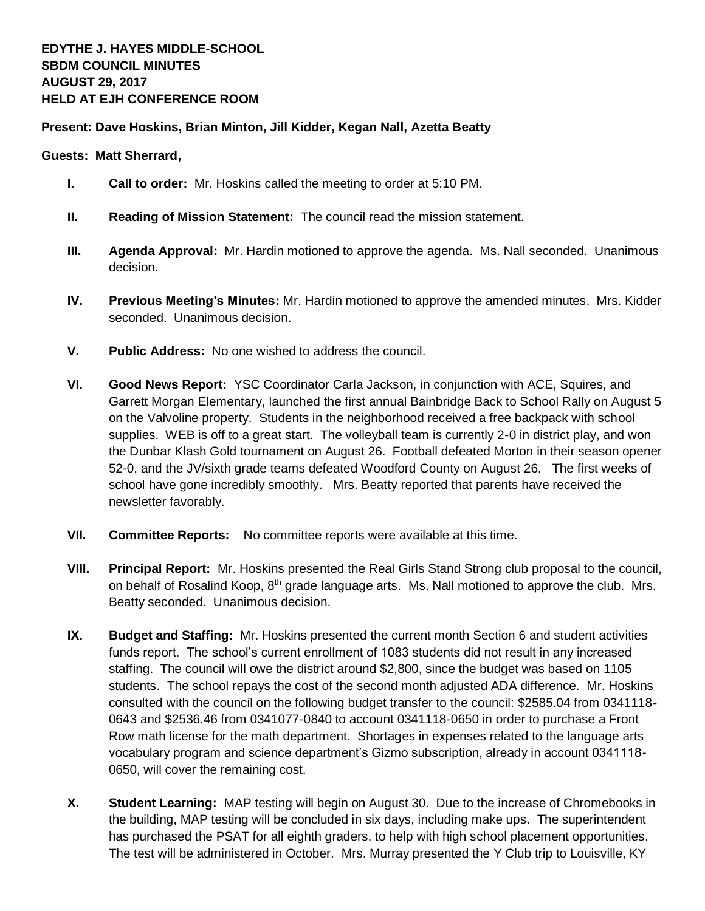## **Present: Dave Hoskins, Brian Minton, Jill Kidder, Kegan Nall, Azetta Beatty**

## **Guests: Matt Sherrard,**

- **I. Call to order:** Mr. Hoskins called the meeting to order at 5:10 PM.
- **II. Reading of Mission Statement:** The council read the mission statement.
- **III. Agenda Approval:** Mr. Hardin motioned to approve the agenda. Ms. Nall seconded. Unanimous decision.
- **IV. Previous Meeting's Minutes:** Mr. Hardin motioned to approve the amended minutes. Mrs. Kidder seconded. Unanimous decision.
- **V. Public Address:** No one wished to address the council.
- **VI. Good News Report:** YSC Coordinator Carla Jackson, in conjunction with ACE, Squires, and Garrett Morgan Elementary, launched the first annual Bainbridge Back to School Rally on August 5 on the Valvoline property. Students in the neighborhood received a free backpack with school supplies. WEB is off to a great start. The volleyball team is currently 2-0 in district play, and won the Dunbar Klash Gold tournament on August 26. Football defeated Morton in their season opener 52-0, and the JV/sixth grade teams defeated Woodford County on August 26. The first weeks of school have gone incredibly smoothly. Mrs. Beatty reported that parents have received the newsletter favorably.
- **VII. Committee Reports:** No committee reports were available at this time.
- **VIII. Principal Report:** Mr. Hoskins presented the Real Girls Stand Strong club proposal to the council, on behalf of Rosalind Koop, 8<sup>th</sup> grade language arts. Ms. Nall motioned to approve the club. Mrs. Beatty seconded. Unanimous decision.
- **IX. Budget and Staffing:** Mr. Hoskins presented the current month Section 6 and student activities funds report. The school's current enrollment of 1083 students did not result in any increased staffing. The council will owe the district around \$2,800, since the budget was based on 1105 students. The school repays the cost of the second month adjusted ADA difference. Mr. Hoskins consulted with the council on the following budget transfer to the council: \$2585.04 from 0341118- 0643 and \$2536.46 from 0341077-0840 to account 0341118-0650 in order to purchase a Front Row math license for the math department. Shortages in expenses related to the language arts vocabulary program and science department's Gizmo subscription, already in account 0341118- 0650, will cover the remaining cost.
- **X. Student Learning:** MAP testing will begin on August 30. Due to the increase of Chromebooks in the building, MAP testing will be concluded in six days, including make ups. The superintendent has purchased the PSAT for all eighth graders, to help with high school placement opportunities. The test will be administered in October. Mrs. Murray presented the Y Club trip to Louisville, KY